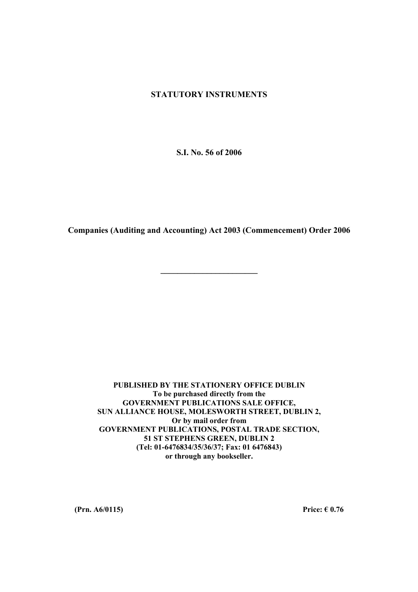## **STATUTORY INSTRUMENTS**

**S.I. No. 56 of 2006** 

**Companies (Auditing and Accounting) Act 2003 (Commencement) Order 2006** 

**\_\_\_\_\_\_\_\_\_\_\_\_\_\_\_\_\_\_\_\_\_\_\_** 

**PUBLISHED BY THE STATIONERY OFFICE DUBLIN To be purchased directly from the GOVERNMENT PUBLICATIONS SALE OFFICE, SUN ALLIANCE HOUSE, MOLESWORTH STREET, DUBLIN 2, Or by mail order from GOVERNMENT PUBLICATIONS, POSTAL TRADE SECTION, 51 ST STEPHENS GREEN, DUBLIN 2 (Tel: 01-6476834/35/36/37; Fax: 01 6476843) or through any bookseller.** 

**(Prn. A6/0115)** Price:  $\epsilon$  0.76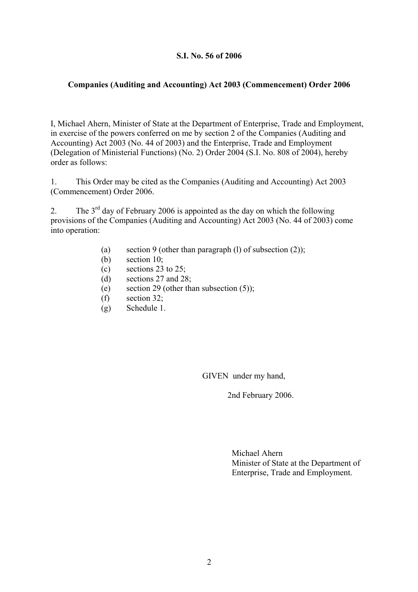## **S.I. No. 56 of 2006**

## **Companies (Auditing and Accounting) Act 2003 (Commencement) Order 2006**

I, Michael Ahern, Minister of State at the Department of Enterprise, Trade and Employment, in exercise of the powers conferred on me by section 2 of the Companies (Auditing and Accounting) Act 2003 (No. 44 of 2003) and the Enterprise, Trade and Employment (Delegation of Ministerial Functions) (No. 2) Order 2004 (S.I. No. 808 of 2004), hereby order as follows:

1. This Order may be cited as the Companies (Auditing and Accounting) Act 2003 (Commencement) Order 2006.

2. The  $3<sup>rd</sup>$  day of February 2006 is appointed as the day on which the following provisions of the Companies (Auditing and Accounting) Act 2003 (No. 44 of 2003) come into operation:

- (a) section 9 (other than paragraph (l) of subsection  $(2)$ );
- (b) section 10;
- (c) sections 23 to 25;
- (d) sections 27 and 28;
- (e) section 29 (other than subsection  $(5)$ );
- (f) section 32;
- (g) Schedule 1.

GIVEN under my hand,

2nd February 2006.

Michael Ahern Minister of State at the Department of Enterprise, Trade and Employment.